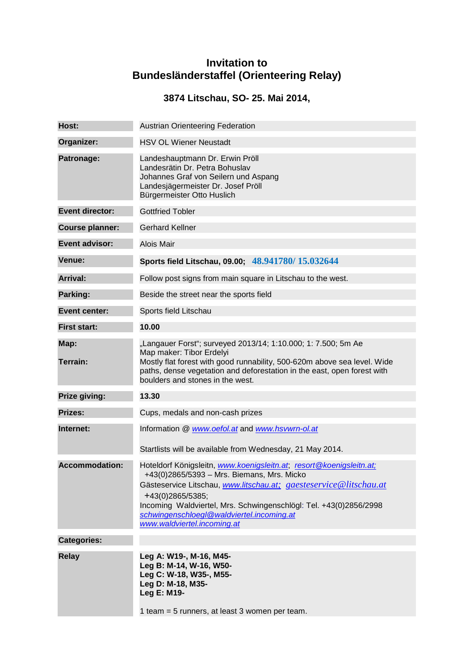## **Invitation to Bundesländerstaffel (Orienteering Relay)**

## **3874 Litschau, SO- 25. Mai 2014,**

| Host:                  | <b>Austrian Orienteering Federation</b>                                                                                                                                                                                                                                                                                                                     |
|------------------------|-------------------------------------------------------------------------------------------------------------------------------------------------------------------------------------------------------------------------------------------------------------------------------------------------------------------------------------------------------------|
| Organizer:             | <b>HSV OL Wiener Neustadt</b>                                                                                                                                                                                                                                                                                                                               |
| Patronage:             | Landeshauptmann Dr. Erwin Pröll<br>Landesrätin Dr. Petra Bohuslav<br>Johannes Graf von Seilern und Aspang<br>Landesjägermeister Dr. Josef Pröll<br>Bürgermeister Otto Huslich                                                                                                                                                                               |
| <b>Event director:</b> | <b>Gottfried Tobler</b>                                                                                                                                                                                                                                                                                                                                     |
| <b>Course planner:</b> | <b>Gerhard Kellner</b>                                                                                                                                                                                                                                                                                                                                      |
| <b>Event advisor:</b>  | Alois Mair                                                                                                                                                                                                                                                                                                                                                  |
| Venue:                 | Sports field Litschau, 09.00; 48.941780/15.032644                                                                                                                                                                                                                                                                                                           |
| <b>Arrival:</b>        | Follow post signs from main square in Litschau to the west.                                                                                                                                                                                                                                                                                                 |
| Parking:               | Beside the street near the sports field                                                                                                                                                                                                                                                                                                                     |
| <b>Event center:</b>   | Sports field Litschau                                                                                                                                                                                                                                                                                                                                       |
| <b>First start:</b>    | 10.00                                                                                                                                                                                                                                                                                                                                                       |
| Map:<br>Terrain:       | "Langauer Forst"; surveyed 2013/14; 1:10.000; 1: 7.500; 5m Ae<br>Map maker: Tibor Erdelyi<br>Mostly flat forest with good runnability, 500-620m above sea level. Wide<br>paths, dense vegetation and deforestation in the east, open forest with<br>boulders and stones in the west.                                                                        |
| Prize giving:          | 13.30                                                                                                                                                                                                                                                                                                                                                       |
| <b>Prizes:</b>         | Cups, medals and non-cash prizes                                                                                                                                                                                                                                                                                                                            |
| Internet:              | Information @ www.oefol.at and www.hsvwrn-ol.at<br>Startlists will be available from Wednesday, 21 May 2014.                                                                                                                                                                                                                                                |
| <b>Accommodation:</b>  | Hoteldorf Königsleitn, www.koenigsleitn.at, resort@koenigsleitn.at;<br>+43(0)2865/5393 - Mrs. Biemans, Mrs. Micko<br>Gästeservice Litschau, www.litschau.at; gaesteservice@litschau.at<br>+43(0)2865/5385;<br>Incoming Waldviertel, Mrs. Schwingenschlögl: Tel. +43(0)2856/2998<br>schwingenschloegl@waldviertel.incoming.at<br>www.waldviertel.incoming.at |
| <b>Categories:</b>     |                                                                                                                                                                                                                                                                                                                                                             |
| <b>Relay</b>           | Leg A: W19-, M-16, M45-<br>Leg B: M-14, W-16, W50-<br>Leg C: W-18, W35-, M55-<br>Leg D: M-18, M35-<br>Leg E: M19-<br>1 team = 5 runners, at least 3 women per team.                                                                                                                                                                                         |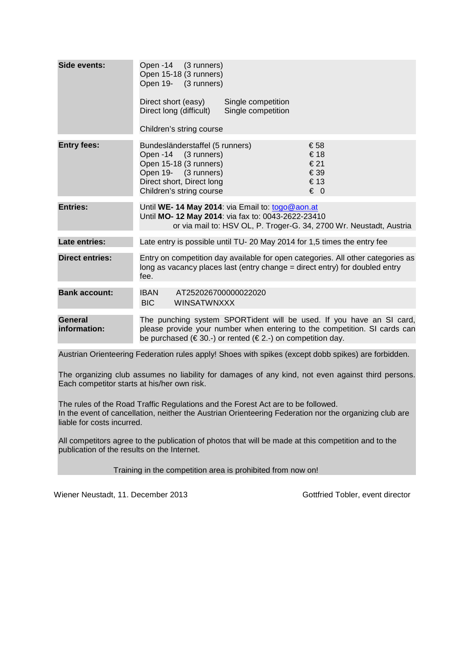| Side events:                   | Open -14 (3 runners)<br>Open 15-18 (3 runners)<br>Open 19- (3 runners)<br>Direct short (easy)<br>Single competition<br>Direct long (difficult)<br>Single competition                                                       |
|--------------------------------|----------------------------------------------------------------------------------------------------------------------------------------------------------------------------------------------------------------------------|
|                                | Children's string course                                                                                                                                                                                                   |
| <b>Entry fees:</b>             | Bundesländerstaffel (5 runners)<br>€58<br>€18<br>Open -14 (3 runners)<br>Open 15-18 (3 runners)<br>€21<br>€ 39<br>Open 19- (3 runners)<br>€13<br>Direct short, Direct long<br>$\epsilon$ 0<br>Children's string course     |
| <b>Entries:</b>                | Until WE-14 May 2014: via Email to: togo@aon.at<br>Until MO- 12 May 2014: via fax to: 0043-2622-23410<br>or via mail to: HSV OL, P. Troger-G. 34, 2700 Wr. Neustadt, Austria                                               |
| Late entries:                  | Late entry is possible until TU-20 May 2014 for 1,5 times the entry fee                                                                                                                                                    |
| <b>Direct entries:</b>         | Entry on competition day available for open categories. All other categories as<br>long as vacancy places last (entry change = direct entry) for doubled entry<br>fee.                                                     |
| <b>Bank account:</b>           | <b>IBAN</b><br>AT252026700000022020<br>BIC<br><b>WINSATWNXXX</b>                                                                                                                                                           |
| <b>General</b><br>information: | The punching system SPORTident will be used. If you have an SI card,<br>please provide your number when entering to the competition. SI cards can<br>be purchased ( $\in$ 30.-) or rented ( $\in$ 2.-) on competition day. |
|                                | Austrian Orientesring Enderation rules apply! Shoes with spikes (except dobb spikes) are forbidden                                                                                                                         |

Austrian Orienteering Federation rules apply! Shoes with spikes (except dobb spikes) are forbidden.

The organizing club assumes no liability for damages of any kind, not even against third persons. Each competitor starts at his/her own risk.

The rules of the Road Traffic Regulations and the Forest Act are to be followed. In the event of cancellation, neither the Austrian Orienteering Federation nor the organizing club are liable for costs incurred.

All competitors agree to the publication of photos that will be made at this competition and to the publication of the results on the Internet.

Training in the competition area is prohibited from now on!

Wiener Neustadt, 11. December 2013 Gottfried Tobler, event director